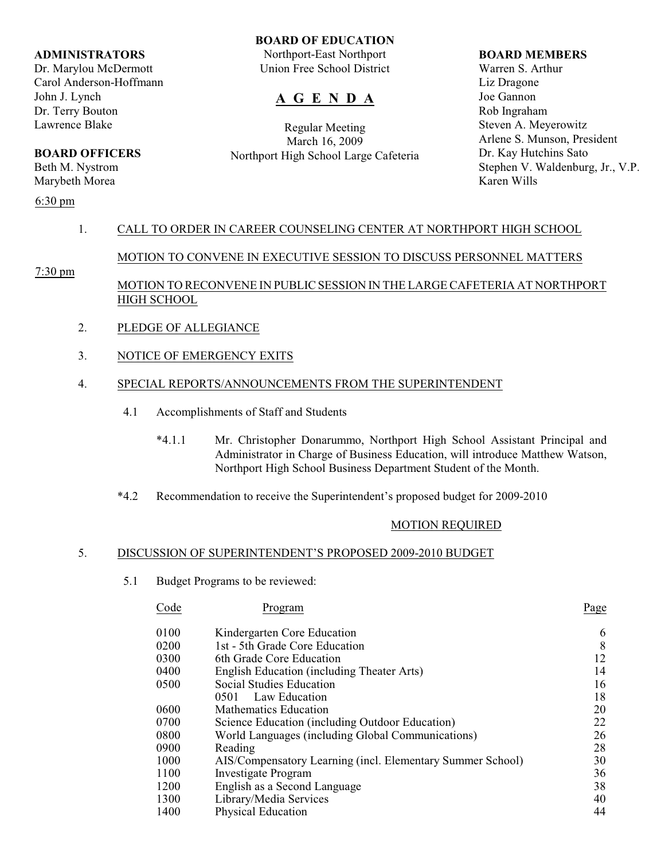#### **ADMINISTRATORS**

Dr. Marylou McDermott Carol Anderson-Hoffmann John J. Lynch Dr. Terry Bouton Lawrence Blake

# **BOARD OFFICERS**

Beth M. Nystrom Marybeth Morea

## 6:30 pm

## **BOARD OF EDUCATION**

Northport-East Northport Union Free School District

# **A G E N D A**

Regular Meeting March 16, 2009 Northport High School Large Cafeteria

#### **BOARD MEMBERS**

Warren S. Arthur Liz Dragone Joe Gannon Rob Ingraham Steven A. Meyerowitz Arlene S. Munson, President Dr. Kay Hutchins Sato Stephen V. Waldenburg, Jr., V.P. Karen Wills

## 1. CALL TO ORDER IN CAREER COUNSELING CENTER AT NORTHPORT HIGH SCHOOL

## MOTION TO CONVENE IN EXECUTIVE SESSION TO DISCUSS PERSONNEL MATTERS

7:30 pm

## MOTION TO RECONVENE IN PUBLIC SESSION IN THE LARGE CAFETERIA AT NORTHPORT HIGH SCHOOL

- 2. PLEDGE OF ALLEGIANCE
- 3. NOTICE OF EMERGENCY EXITS

## 4. SPECIAL REPORTS/ANNOUNCEMENTS FROM THE SUPERINTENDENT

- 4.1 Accomplishments of Staff and Students
	- \*4.1.1 Mr. Christopher Donarummo, Northport High School Assistant Principal and Administrator in Charge of Business Education, will introduce Matthew Watson, Northport High School Business Department Student of the Month.
- \*4.2 Recommendation to receive the Superintendent's proposed budget for 2009-2010

## MOTION REQUIRED

## 5. DISCUSSION OF SUPERINTENDENT'S PROPOSED 2009-2010 BUDGET

5.1 Budget Programs to be reviewed:

| Code                               | Program                                                    | Page     |
|------------------------------------|------------------------------------------------------------|----------|
| 0100                               | Kindergarten Core Education                                | 6        |
| 0200                               | 1st - 5th Grade Core Education                             | 8        |
| 0300                               | 6th Grade Core Education                                   | 12       |
| 0400                               | English Education (including Theater Arts)                 | 14       |
| 0500                               | Social Studies Education                                   | 16       |
|                                    | Law Education<br>0501                                      | 18       |
| 0600                               | Mathematics Education                                      | 20       |
| 0700                               | Science Education (including Outdoor Education)            | 22       |
| 0800                               | World Languages (including Global Communications)          |          |
| 0900<br>Reading                    |                                                            |          |
| 1000                               | AIS/Compensatory Learning (incl. Elementary Summer School) |          |
| <b>Investigate Program</b><br>1100 |                                                            |          |
| 1200                               | English as a Second Language                               | 36<br>38 |
| 1300                               | Library/Media Services                                     |          |
| 1400                               | <b>Physical Education</b>                                  | 40<br>44 |
|                                    |                                                            |          |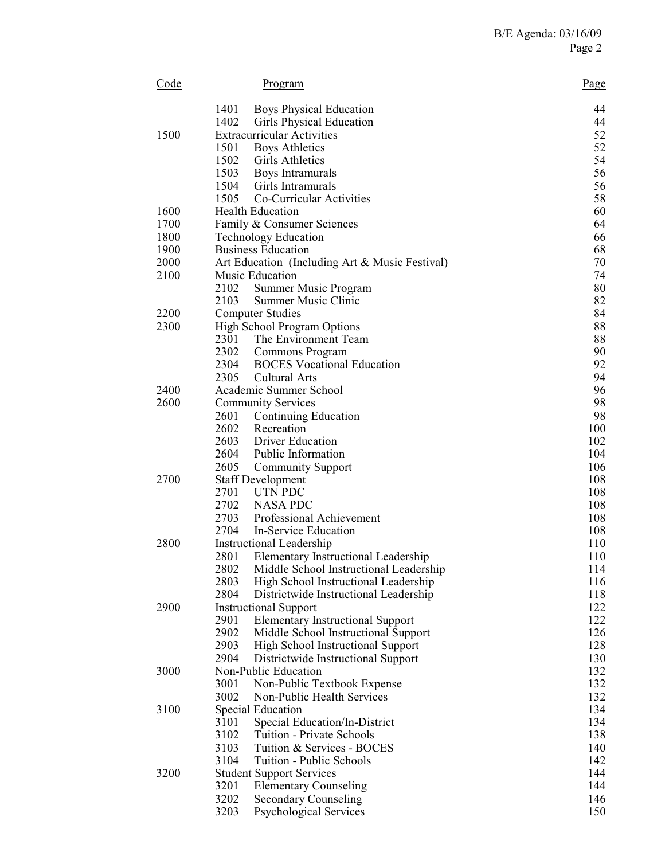| Code | Program                                                                                       | Page       |
|------|-----------------------------------------------------------------------------------------------|------------|
|      | 1401<br><b>Boys Physical Education</b>                                                        | 44         |
|      | 1402<br>Girls Physical Education                                                              | 44         |
| 1500 | <b>Extracurricular Activities</b>                                                             | 52         |
|      | 1501<br><b>Boys Athletics</b>                                                                 | 52         |
|      | 1502<br><b>Girls Athletics</b>                                                                | 54         |
|      | 1503<br>Boys Intramurals                                                                      | 56         |
|      | 1504<br>Girls Intramurals<br>1505                                                             | 56<br>58   |
| 1600 | Co-Curricular Activities<br><b>Health Education</b>                                           | 60         |
| 1700 | Family & Consumer Sciences                                                                    | 64         |
| 1800 | <b>Technology Education</b>                                                                   | 66         |
| 1900 | <b>Business Education</b>                                                                     | 68         |
| 2000 | Art Education (Including Art & Music Festival)                                                | 70         |
| 2100 | Music Education                                                                               | 74         |
|      | 2102<br>Summer Music Program                                                                  | 80         |
|      | 2103<br>Summer Music Clinic                                                                   | 82         |
| 2200 | <b>Computer Studies</b>                                                                       | 84         |
| 2300 | <b>High School Program Options</b>                                                            | 88         |
|      | 2301<br>The Environment Team                                                                  | 88         |
|      | 2302<br>Commons Program                                                                       | 90         |
|      | 2304<br><b>BOCES</b> Vocational Education                                                     | 92         |
| 2400 | 2305<br><b>Cultural Arts</b><br>Academic Summer School                                        | 94<br>96   |
| 2600 | <b>Community Services</b>                                                                     | 98         |
|      | 2601<br>Continuing Education                                                                  | 98         |
|      | 2602<br>Recreation                                                                            | 100        |
|      | 2603<br><b>Driver Education</b>                                                               | 102        |
|      | 2604<br>Public Information                                                                    | 104        |
|      | 2605<br><b>Community Support</b>                                                              | 106        |
| 2700 | <b>Staff Development</b>                                                                      | 108        |
|      | 2701<br>UTN PDC                                                                               | 108        |
|      | 2702<br><b>NASA PDC</b>                                                                       | 108        |
|      | 2703<br>Professional Achievement                                                              | 108        |
|      | 2704<br>In-Service Education                                                                  | 108        |
| 2800 | Instructional Leadership                                                                      | 110        |
|      | 2801<br>Elementary Instructional Leadership<br>2802<br>Middle School Instructional Leadership | 110<br>114 |
|      | 2803<br>High School Instructional Leadership                                                  | 116        |
|      | 2804<br>Districtwide Instructional Leadership                                                 | 118        |
| 2900 | <b>Instructional Support</b>                                                                  | 122        |
|      | 2901<br><b>Elementary Instructional Support</b>                                               | 122        |
|      | 2902<br>Middle School Instructional Support                                                   | 126        |
|      | 2903<br>High School Instructional Support                                                     | 128        |
|      | 2904<br>Districtwide Instructional Support                                                    | 130        |
| 3000 | Non-Public Education                                                                          | 132        |
|      | 3001<br>Non-Public Textbook Expense                                                           | 132        |
|      | 3002<br>Non-Public Health Services                                                            | 132        |
| 3100 | Special Education                                                                             | 134        |
|      | 3101<br>Special Education/In-District<br>3102<br>Tuition - Private Schools                    | 134<br>138 |
|      | 3103<br>Tuition & Services - BOCES                                                            | 140        |
|      | 3104<br>Tuition - Public Schools                                                              | 142        |
| 3200 | <b>Student Support Services</b>                                                               | 144        |
|      | 3201<br><b>Elementary Counseling</b>                                                          | 144        |
|      | 3202<br><b>Secondary Counseling</b>                                                           | 146        |
|      | 3203<br><b>Psychological Services</b>                                                         | 150        |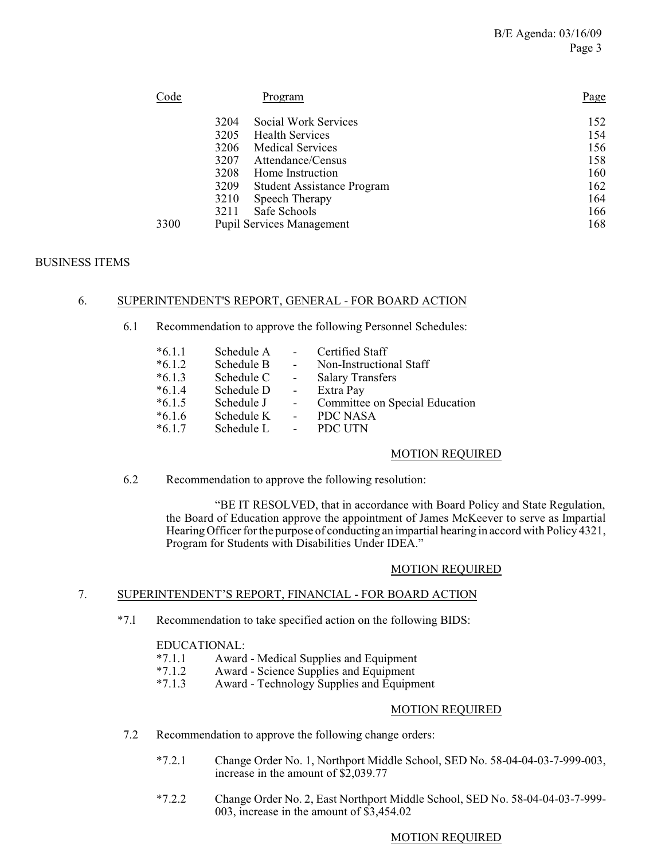| Code | Program                          | Page |
|------|----------------------------------|------|
| 3204 | Social Work Services             | 152  |
| 3205 | <b>Health Services</b>           | 154  |
| 3206 | <b>Medical Services</b>          | 156  |
| 3207 | Attendance/Census                | 158  |
| 3208 | Home Instruction                 | 160  |
| 3209 | Student Assistance Program       | 162  |
| 3210 | Speech Therapy                   | 164  |
| 3211 | Safe Schools                     | 166  |
| 3300 | <b>Pupil Services Management</b> | 168  |

## BUSINESS ITEMS

#### 6. SUPERINTENDENT'S REPORT, GENERAL - FOR BOARD ACTION

6.1 Recommendation to approve the following Personnel Schedules:

| $*6.1.1$ | Schedule A | $\sim$                   | Certified Staff                |
|----------|------------|--------------------------|--------------------------------|
| $*6.1.2$ | Schedule B | $\sim$ 10 $\,$           | Non-Instructional Staff        |
| $*6.1.3$ | Schedule C | $\sim$                   | <b>Salary Transfers</b>        |
| $*6.1.4$ | Schedule D | $\sim$ $-$               | Extra Pay                      |
| $*6.1.5$ | Schedule J | $\overline{\phantom{a}}$ | Committee on Special Education |
| $*6.1.6$ | Schedule K | $\sim$                   | PDC NASA                       |
| $*6.1.7$ | Schedule L | $\blacksquare$           | PDC UTN                        |

#### MOTION REQUIRED

6.2 Recommendation to approve the following resolution:

"BE IT RESOLVED, that in accordance with Board Policy and State Regulation, the Board of Education approve the appointment of James McKeever to serve as Impartial Hearing Officer for the purpose of conducting an impartial hearing in accord with Policy 4321, Program for Students with Disabilities Under IDEA."

#### MOTION REQUIRED

## 7. SUPERINTENDENT'S REPORT, FINANCIAL - FOR BOARD ACTION

\*7.l Recommendation to take specified action on the following BIDS:

# EDUCATIONAL:<br>\*7.1.1 Award

- \*7.1.1 Award Medical Supplies and Equipment
- \*7.1.2 Award Science Supplies and Equipment<br>\*7.1.3 Award Technology Supplies and Equipm
- Award Technology Supplies and Equipment

#### MOTION REQUIRED

- 7.2 Recommendation to approve the following change orders:
	- \*7.2.1 Change Order No. 1, Northport Middle School, SED No. 58-04-04-03-7-999-003, increase in the amount of \$2,039.77
	- \*7.2.2 Change Order No. 2, East Northport Middle School, SED No. 58-04-04-03-7-999- 003, increase in the amount of \$3,454.02

## MOTION REQUIRED